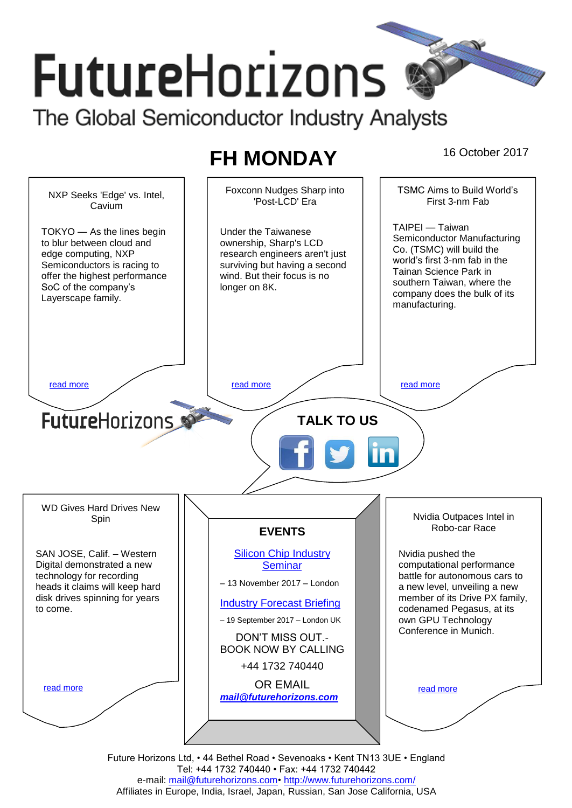# **FutureHorizons** The Global Semiconductor Industry Analysts

# **FH MONDAY** 16 October 2017



Future Horizons Ltd, • 44 Bethel Road • Sevenoaks • Kent TN13 3UE • England Tel: +44 1732 740440 • Fax: +44 1732 740442 e-mail: mail@futurehorizons.com• http://www.futurehorizons.com/ Affiliates in Europe, India, Israel, Japan, Russian, San Jose California, USA